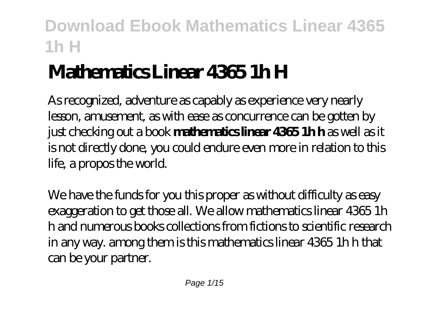# **Mathematics Linear 4365 1h H**

As recognized, adventure as capably as experience very nearly lesson, amusement, as with ease as concurrence can be gotten by just checking out a book **mathematics linear 4365 1h h** as well as it is not directly done, you could endure even more in relation to this life, a propos the world.

We have the funds for you this proper as without difficulty as easy exaggeration to get those all. We allow mathematics linear 4365 1h h and numerous books collections from fictions to scientific research in any way. among them is this mathematics linear 4365 1h h that can be your partner.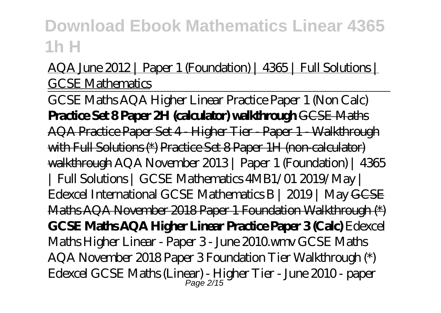### AQA June 2012 | Paper 1 (Foundation) | 4365 | Full Solutions | GCSE Mathematics

GCSE Maths AQA Higher Linear Practice Paper 1 (Non Calc) **Practice Set 8 Paper 2H (calculator) walkthrough** GCSE Maths AQA Practice Paper Set 4 - Higher Tier - Paper 1 - Walkthrough with Full Solutions (\*) Practice Set 8 Paper 1H (non-calculator) walkthrough *AQA November 2013 | Paper 1 (Foundation) | 4365 | Full Solutions | GCSE Mathematics 4MB1/01 2019/May | Edexcel International GCSE Mathematics B | 2019 | May* GCSE Maths AQA November 2018 Paper 1 Foundation Walkthrough (\*) **GCSE Maths AQA Higher Linear Practice Paper 3 (Calc)** *Edexcel Maths Higher Linear - Paper 3 - June 2010.wmv GCSE Maths AQA November 2018 Paper 3 Foundation Tier Walkthrough (\*)* Edexcel GCSE Maths (Linear) - Higher Tier - June 2010 - paper Page 2/15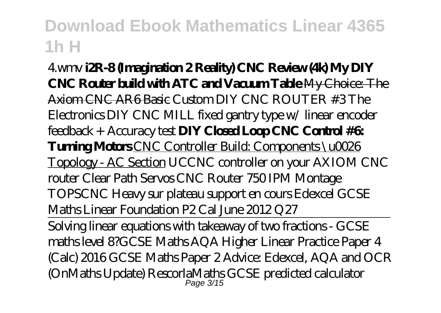4.wmv **i2R-8 (Imagination 2 Reality) CNC Review (4k) My DIY CNC Router build with ATC and Vacuum Table** My Choice: The Axiom CNC AR6 Basic Custom DIY CNC ROUTER #3 The Electronics *DIY CNC MILL fixed gantry type w/ linear encoder feedback + Accuracy test* **DIY Closed Loop CNC Control #6: Turning Motors** CNC Controller Build: Components \u0026 Topology - AC Section *UCCNC controller on your AXIOM CNC router Clear Path Servos CNC Router 750 IPM Montage TOPSCNC Heavy sur plateau support en cours Edexcel GCSE Maths Linear Foundation P2 Cal June 2012 Q27*

Solving linear equations with takeaway of two fractions - GCSE maths level 8?*GCSE Maths AQA Higher Linear Practice Paper 4 (Calc) 2016 GCSE Maths Paper 2 Advice: Edexcel, AQA and OCR (OnMaths Update)* RescorlaMaths GCSE predicted calculator Page 3/15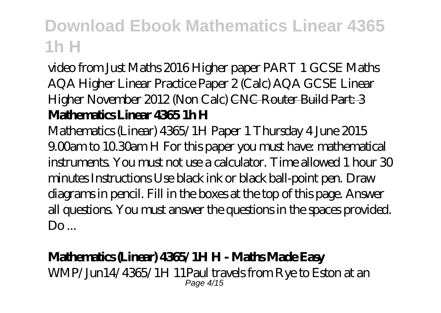video from Just Maths 2016 Higher paper PART 1 GCSE Maths AQA Higher Linear Practice Paper 2 (Calc) AQA GCSE Linear Higher November 2012 (Non Calc) CNC Router Build Part: 3 **Mathematics Linear 4365 1h H**

Mathematics (Linear) 4365/1H Paper 1 Thursday 4 June 2015 9.00am to 10.30am H For this paper you must have: mathematical instruments. You must not use a calculator. Time allowed 1 hour 30 minutes Instructions Use black ink or black ball-point pen. Draw diagrams in pencil. Fill in the boxes at the top of this page. Answer all questions. You must answer the questions in the spaces provided.  $Do...$ 

### **Mathematics (Linear) 4365/1H H - Maths Made Easy**

WMP/Jun14/4365/1H 11Paul travels from Rye to Eston at an Page 4/15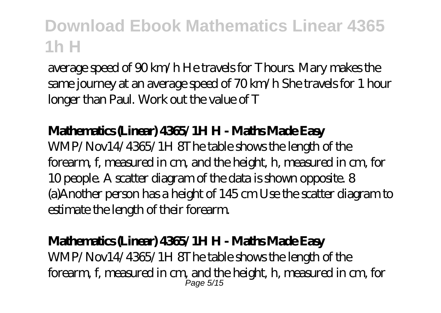average speed of 90 km/h He travels for Thours. Mary makes the same journey at an average speed of 70 km/h She travels for 1 hour longer than Paul. Work out the value of T

#### **Mathematics (Linear) 4365/1H H - Maths Made Easy**

WMP/Nov14/4365/1H 8The table shows the length of the forearm, f, measured in cm, and the height, h, measured in cm, for 10 people. A scatter diagram of the data is shown opposite. 8 (a)Another person has a height of 145 cm Use the scatter diagram to estimate the length of their forearm.

### **Mathematics (Linear) 4365/1H H - Maths Made Easy**

WMP/Nov14/4365/1H 8The table shows the length of the forearm, f, measured in cm, and the height, h, measured in cm, for Page 5/15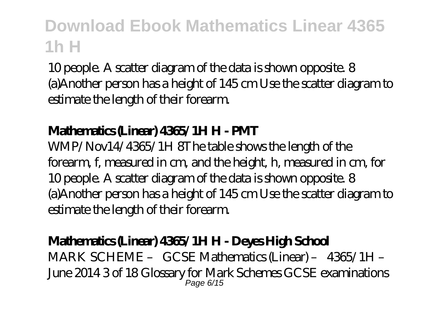10 people. A scatter diagram of the data is shown opposite. 8 (a)Another person has a height of 145 cm Use the scatter diagram to estimate the length of their forearm.

### **Mathematics (Linear) 4365/1H H - PMT**

WMP/Nov14/4365/1H 8The table shows the length of the forearm, f, measured in cm, and the height, h, measured in cm, for 10 people. A scatter diagram of the data is shown opposite. 8 (a)Another person has a height of 145 cm Use the scatter diagram to estimate the length of their forearm.

### **Mathematics (Linear) 4365/1H H - Deyes High School**

MARK SCHEME – GCSE Mathematics (Linear) – 4365/1H – June 2014 3 of 18 Glossary for Mark Schemes GCSE examinations Page 6/15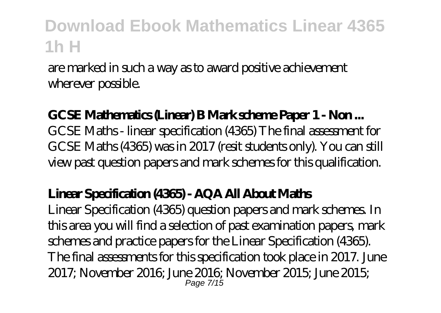are marked in such a way as to award positive achievement wherever possible.

### **GCSE Mathematics (Linear) B Mark scheme Paper 1 - Non ...**

GCSE Maths - linear specification (4365) The final assessment for GCSE Maths (4365) was in 2017 (resit students only). You can still view past question papers and mark schemes for this qualification.

#### **Linear Specification (4365) - AQA All About Maths**

Linear Specification (4365) question papers and mark schemes. In this area you will find a selection of past examination papers, mark schemes and practice papers for the Linear Specification (4365). The final assessments for this specification took place in 2017. June 2017; November 2016; June 2016; November 2015; June 2015; Page 7/15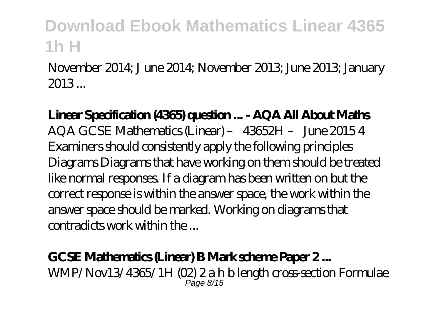November 2014; J une 2014; November 2013; June 2013; January 2013 ...

**Linear Specification (4365) question ... - AQA All About Maths** AQA GCSE Mathematics (Linear) – 43652H – June 2015 4 Examiners should consistently apply the following principles Diagrams Diagrams that have working on them should be treated like normal responses. If a diagram has been written on but the correct response is within the answer space, the work within the answer space should be marked. Working on diagrams that contradicts work within the ...

### **GCSE Mathematics (Linear) B Mark scheme Paper 2 ...**

WMP/Nov13/4365/1H (02) 2 a h b length cross-section Formulae  $P$ ane  $R/15$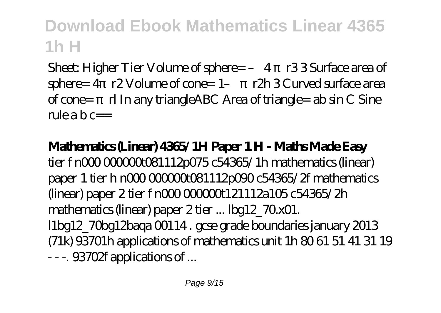Sheet: Higher Tier Volume of sphere= - 4 πr33 Surface area of sphere= 4 r2 Volume of cone= 1- r2h 3 Curved surface area of cone=  $\pi$  In any triangle ABC Area of triangle= ab sin C Sine rule a b  $c=-$ 

### **Mathematics (Linear) 4365/1H Paper 1 H - Maths Made Easy**

tier f n000 00000061112p075 c54365/1h mathematics (linear) paper 1 tier h n000 000000t081112p090 c54365/2f mathematics (linear) paper 2 tier f n000 000000t121112a105 c54365/2h mathematics (linear) paper 2 tier ... lbg12\_70.x01. l1bg12\_70bg12baqa 00114 . gcse grade boundaries january 2013 (71k) 93701h applications of mathematics unit 1h 80 61 51 41 31 19 - - -. 93702f applications of ...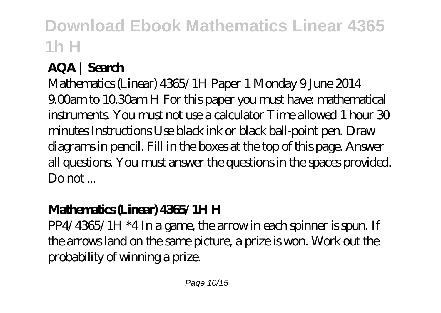### **AQA | Search**

Mathematics (Linear) 4365/1H Paper 1 Monday 9 June 2014 9.00am to 10.30am H For this paper you must have: mathematical instruments. You must not use a calculator Time allowed 1 hour 30 minutes Instructions Use black ink or black ball-point pen. Draw diagrams in pencil. Fill in the boxes at the top of this page. Answer all questions. You must answer the questions in the spaces provided.  $D$ o not  $\overline{D}$ 

### **Mathematics (Linear) 4365/1H H**

PP4/4365/1H \*4 In a game, the arrow in each spinner is spun. If the arrows land on the same picture, a prize is won. Work out the probability of winning a prize.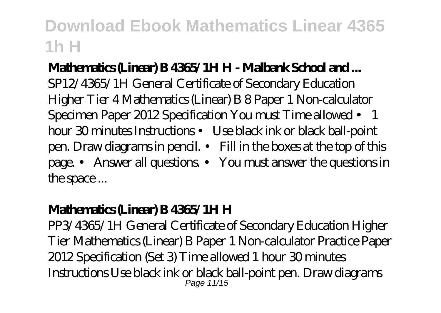### **Mathematics (Linear) B 4365/1H H - Malbank School and ...**

SP12/4365/1H General Certificate of Secondary Education Higher Tier 4 Mathematics (Linear) B 8 Paper 1 Non-calculator Specimen Paper 2012 Specification You must Time allowed • 1 hour 30 minutes Instructions • Use black ink or black ball-point pen. Draw diagrams in pencil. • Fill in the boxes at the top of this page. • Answer all questions. • You must answer the questions in the space ...

### **Mathematics (Linear) B 4365/1H H**

PP3/4365/1H General Certificate of Secondary Education Higher Tier Mathematics (Linear) B Paper 1 Non-calculator Practice Paper 2012 Specification (Set 3) Time allowed 1 hour 30 minutes Instructions Use black ink or black ball-point pen. Draw diagrams Page 11/15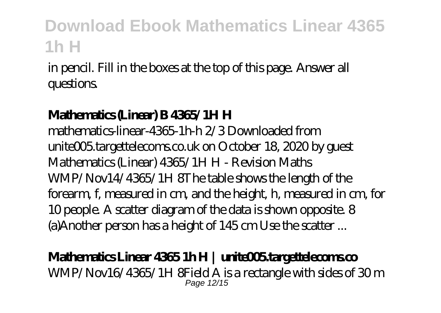in pencil. Fill in the boxes at the top of this page. Answer all questions.

### **Mathematics (Linear) B 4365/1H H**

mathematics-linear-4365-1h-h 2/3 Downloaded from unite005.targettelecoms.co.uk on October 18, 2020 by guest Mathematics (Linear) 4365/1H H - Revision Maths WMP/Nov14/4365/1H 8The table shows the length of the forearm, f, measured in cm, and the height, h, measured in cm, for 10 people. A scatter diagram of the data is shown opposite. 8 (a)Another person has a height of 145 cm Use the scatter ...

### **Mathematics Linear 4365 1h H | unite005.targettelecoms.co**

WMP/Nov16/4365/1H 8Field A is a rectangle with sides of 30 m Page 12/15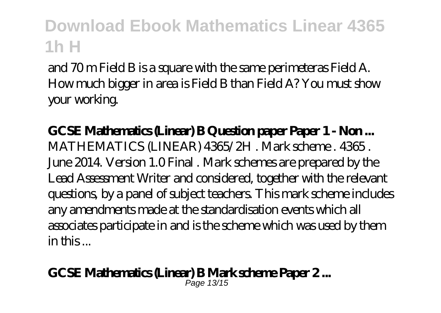and 70 m Field B is a square with the same perimeteras Field A. How much bigger in area is Field B than Field A? You must show your working.

**GCSE Mathematics (Linear) B Question paper Paper 1 - Non ...** MATHEMATICS (LINEAR) 4365/2H . Mark scheme . 4365 . June 2014. Version 1.0 Final . Mark schemes are prepared by the Lead Assessment Writer and considered, together with the relevant questions, by a panel of subject teachers. This mark scheme includes any amendments made at the standardisation events which all associates participate in and is the scheme which was used by them in this ...

#### **GCSE Mathematics (Linear) B Mark scheme Paper 2 ...**

Page 13/15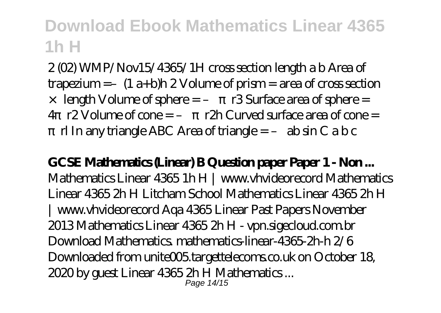2 (02) WMP/Nov15/4365/1H cross section length a b Area of trapezium =  $-(1 a+b)h 2$  Volume of prism = area of cross section

- $\times$  length Volume of sphere =  $\arcsin 3$  Surface area of sphere =
- 4  $r2$  Volume of cone =  $r2h$  Curved surface area of cone = rl In any triangle ABC Area of triangle  $= -$  ab sin C a b c

**GCSE Mathematics (Linear) B Question paper Paper 1 - Non ...** Mathematics Linear 4365 1h H | www.vhvideorecord Mathematics Linear 4365 2h H Litcham School Mathematics Linear 4365 2h H | www.vhvideorecord Aqa 4365 Linear Past Papers November 2013 Mathematics Linear 4365 2h H - vpn.sigecloud.com.br Download Mathematics. mathematics-linear-4365-2h-h 2/6 Downloaded from unite005 targettelecoms.co.uk on October 18, 2020 by guest Linear 4365 2h H Mathematics ... Page 14/15